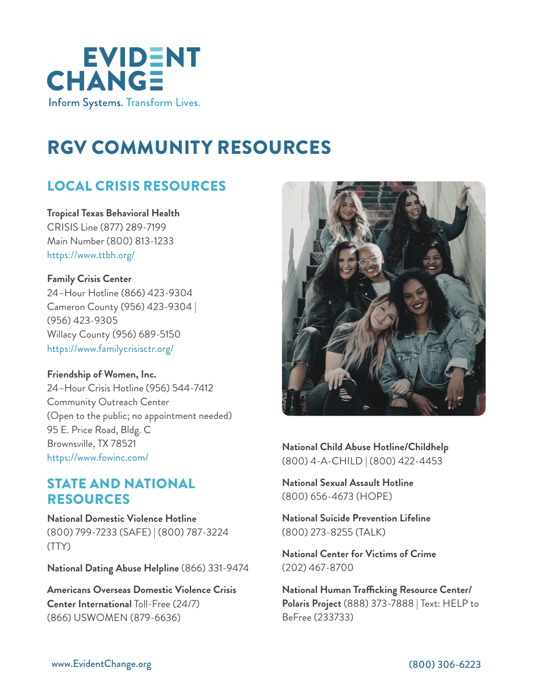

# RGV COMMUNITY RESOURCES

# LOCAL CRISIS RESOURCES

**Tropical Texas Behavioral Health** CRISIS Line (877) 289-7199 Main Number (800) 813-1233 <https://www.ttbh.org/>

**Family Crisis Center** 24–Hour Hotline (866) 423-9304 Cameron County (956) 423-9304 | (956) 423-9305 Willacy County (956) 689-5150 <https://www.familycrisisctr.org/>

**Friendship of Women, Inc.** 24–Hour Crisis Hotline (956) 544-7412 Community Outreach Center (Open to the public; no appointment needed) 95 E. Price Road, Bldg. C Brownsville, TX 78521 [https://www.fowinc.com/](https://www.fowinc.com)

#### STATE AND NATIONAL RESOURCES

**[National Domestic Violence Hotline](http://www.thehotline.org/)** (800) 799-7233 (SAFE) | (800) 787-3224 (TTY)

**[National Dating Abuse Helpline](http://www.loveisrespect.org/)** (866) 331-9474

**[Americans Overseas Domestic Violence Crisis](http://www.866uswomen.org/)  [Center](http://www.866uswomen.org/) International** Toll-Free (24/7) (866) USWOMEN (879-6636)



**[National Child Abuse Hotline/Childhelp](http://www.childhelp.org/)** (800) 4-A-CHILD | (800) 422-4453

**[National Sexual Assault Hotline](https://rainn.org/)**  (800) 656-4673 (HOPE)

**[National Suicide Prevention Lifeline](http://www.suicidepreventionlifeline.org/)**  (800) 273-8255 (TALK)

**[National Center for Victims of Crime](http://www.victimsofcrime.org/)**  (202) 467-8700

**[National Human Trafficking Resource Center/](http://www.polarisproject.org/) [Polaris Project](http://www.polarisproject.org/)** (888) 373-7888 | Text: HELP to BeFree (233733)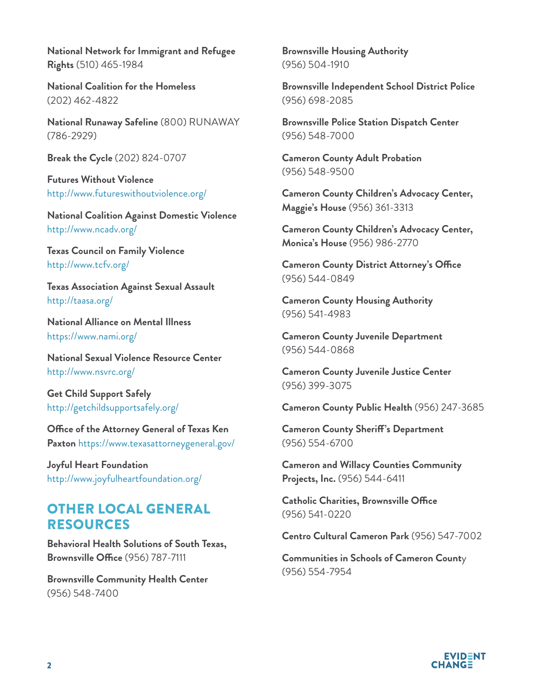**[National Network for Immigrant and Refugee](http://www.nnirr.org/drupal/)  [Rights](http://www.nnirr.org/drupal/)** (510) 465-1984

**[National Coalition for the Homeless](http://www.nationalhomeless.org/)**  (202) 462-4822

**[National Runaway Safeline](http://www.1800runaway.org/)** (800) RUNAWAY (786-2929)

**[Break the Cycle](http://www.breakthecycle.org/)** (202) 824-0707

**[Futures Without Violence](http://www.futureswithoutviolence.org/)** [http://www.futureswithoutviolence.org/](http://www.futureswithoutviolence.org/ )

**[National Coalition Against Domestic Violence](http://www.ncadv.org/)** <http://www.ncadv.org/>

**[Texas Council on Family Violence](http://www.tcfv.org/)** <http://www.tcfv.org/>

**[Texas Association Against Sexual Assault](http://taasa.org/)** <http://taasa.org/>

**[National Alliance on Mental Illness](https://www.nami.org/)** <https://www.nami.org/>

**[National Sexual Violence Resource Center](http://www.nsvrc.org/)** http://www.nsvrc.org/

**[Get Child Support Safely](http://getchildsupportsafely.org/)** http://getchildsupportsafely.org/

**[Office of the Attorney General of Texas Ken](https://www.texasattorneygeneral.gov/)  [Paxton](https://www.texasattorneygeneral.gov/)** https://www.texasattorneygeneral.gov/

**[Joyful Heart Foundation](http://www.joyfulheartfoundation.org/)** http://www.joyfulheartfoundation.org/

## OTHER LOCAL GENERAL RESOURCES

**Behavioral Health Solutions of South Texas, Brownsville Office** (956) 787-7111

**Brownsville Community Health Center** (956) 548-7400

**Brownsville Housing Authority** (956) 504-1910

**Brownsville Independent School District Police** (956) 698-2085

**Brownsville Police Station Dispatch Center** (956) 548-7000

**Cameron County Adult Probation**  (956) 548-9500

**Cameron County Children's Advocacy Center, Maggie's House** (956) 361-3313

**Cameron County Children's Advocacy Center, Monica's House** (956) 986-2770

**Cameron County District Attorney's Office** (956) 544-0849

**Cameron County Housing Authority** (956) 541-4983

**Cameron County Juvenile Department**  (956) 544-0868

**Cameron County Juvenile Justice Center**  (956) 399-3075

**Cameron County Public Health** (956) 247-3685

**Cameron County Sheriff's Department** (956) 554-6700

**Cameron and Willacy Counties Community Projects, Inc.** (956) 544-6411

**Catholic Charities, Brownsville Office**  (956) 541-0220

**Centro Cultural Cameron Park** (956) 547-7002

**Communities in Schools of Cameron Count**y (956) 554-7954